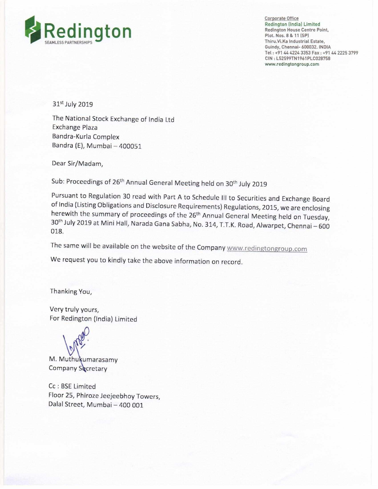

Corporate Office Redington (India) Limited<br>Redington House Centre Point, Thiru.Vi.Ka Industrial Estate, Guindy, Chennai- 600032. INDIA Tel: +91 44 4224 3353 Fax : +91 44 2225 3799 CIN: L52599TN1961PLC028758 www.redingtongroup.com

31<sup>st</sup> July 2019

The National Stock Exchange of India Ltd Exchange Plaza Bandra-Kurla Complex Bandra (E), Mumbai —400051

Dear Sir/Madam,

Sub: Proceedings of 26<sup>th</sup> Annual General Meeting held on 30<sup>th</sup> July 2019

Pursuant to Regulation <sup>30</sup> read with Part <sup>A</sup> to Schedule III to Securities and Exchange Board of India (Listing Obligations and Disclosure Requirements) Regulations, 2015, we are enclosing<br>herewith the summary of proceedings of the 26<sup>th</sup> Annual General Meeting held on Tuesday, herewith the summary of proceedings of the 26<sup>th</sup> Annual General Meeting held on Tuesday,<br>30<sup>th</sup> July 2019 at Mini Hall, Narada Gana Sabha, No. 314, T.T.K. Road, Alwarpet, Chennai – 600<br>018 018.

The same will be available on the website of the Company www.redingtongroup.com

We request you to kindly take the above information on record.

Thanking You,

Very truly yours, For Redington (India) Limited

 $\mathbf{y}$ 

M. Muthukumarasamy Company Secretary

Cc : BSE Limited Floor 25, Phiroze Jeejeebhoy Towers IDalal Street, Mumbai — 400 001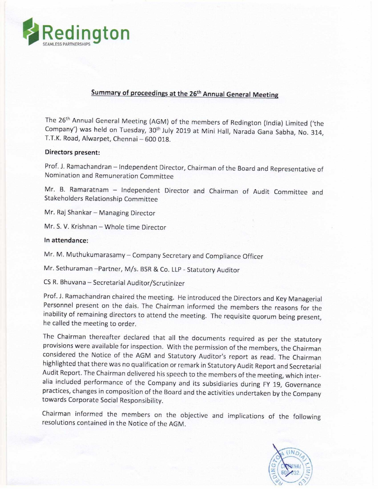

## Summary of proceedings at the 26<sup>th</sup> Annual General Meeting

The 26<sup>th</sup> Annual General Meeting (AGM) of the members of Redington (India) Limited ('the Company') was held on Tuesday, 30<sup>th</sup> July 2019 at Mini Hall, Narada Gana Sabha, No. 314, T.T.K. Road, Alwarpet, Chennai — 600 018.

## Directors present:

Prof. J. Ramachandran — independent Director, Chairman of the Board and Representative of Nomination and Remuneration Committee

Mr. B. Ramaratnam — Independent Director and Chairman of Audit Committee and Stakeholders Relationship Committee

Mr. Raj Shankar — Managing Director

Mr. S. V. Krishnan — Whole time Director

## In attendance:

Mr. M. Muthukumarasamy — Company Secretary and Compliance Officer

Mr. Sethuraman –Partner, M/s. BSR & Co. LLP - Statutory Auditor

CS R. Bhuvana — Secretarial Auditor/Scrutinizer

Prof. J. Ramachandran chaired the meeting. He introduced the Directors and Key Managerial Personnel present on the dais. The Chairman informed the members the reasons for the inability of remaining directors to attend the meeting. The requisite quorum being present, he called the meeting to order.

The Chairman thereafter declared that all the documents required as per the statutory provisions were available for inspection. With the permission of the members, the Chairman considered the Notice of the AGM and Statutory Auditor's report as read. The Chairman highlighted that there was no qualification or remark in Statutory Audit Report and Secretarial Audit Report. The Chairman delivered his speech to the members of the meeting, which interalia included performance of the Company and its subsidiaries during FY 19, Governance practices, changes in composition of the Board and the activities undertaken by the Company towards Corporate Social Responsibility.

Chairman informed the members on the objective and implications of the following resolutions contained in the Notice of the AGM.